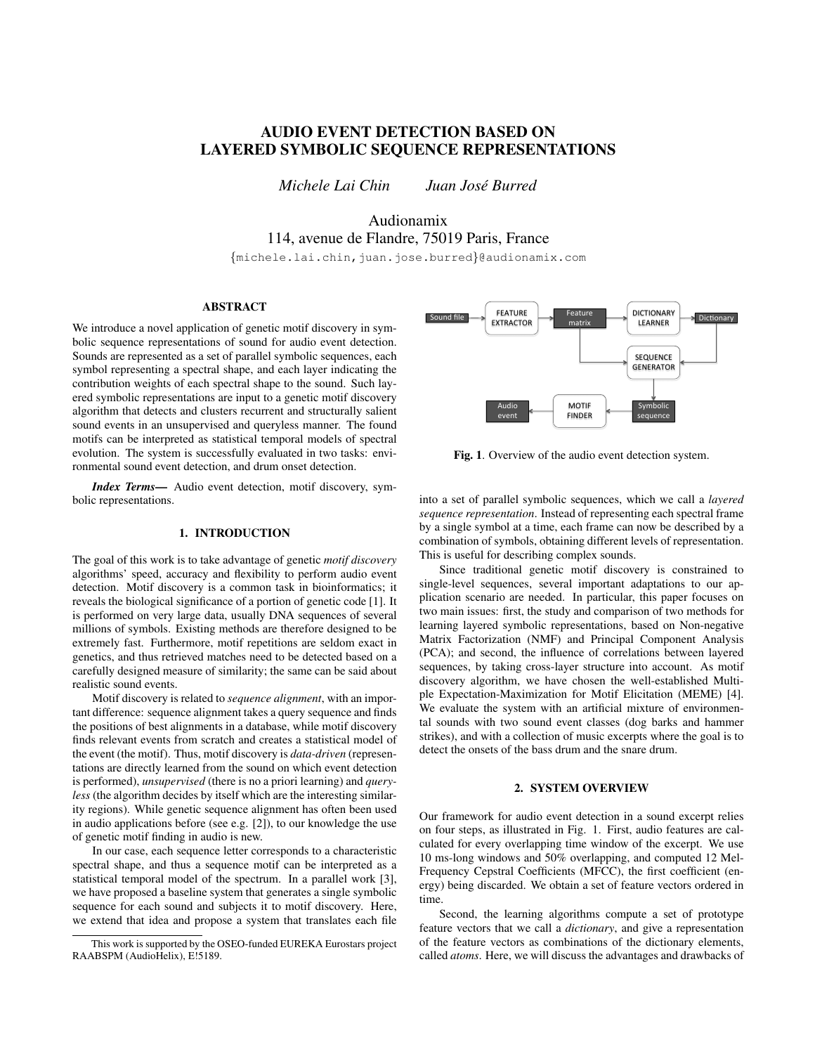# AUDIO EVENT DETECTION BASED ON LAYERED SYMBOLIC SEQUENCE REPRESENTATIONS

*Michele Lai Chin Juan Jose Burred ´*

Audionamix 114, avenue de Flandre, 75019 Paris, France

{michele.lai.chin,juan.jose.burred}@audionamix.com

# ABSTRACT

We introduce a novel application of genetic motif discovery in symbolic sequence representations of sound for audio event detection. Sounds are represented as a set of parallel symbolic sequences, each symbol representing a spectral shape, and each layer indicating the contribution weights of each spectral shape to the sound. Such layered symbolic representations are input to a genetic motif discovery algorithm that detects and clusters recurrent and structurally salient sound events in an unsupervised and queryless manner. The found motifs can be interpreted as statistical temporal models of spectral evolution. The system is successfully evaluated in two tasks: environmental sound event detection, and drum onset detection.

*Index Terms*— Audio event detection, motif discovery, symbolic representations.

# 1. INTRODUCTION

The goal of this work is to take advantage of genetic *motif discovery* algorithms' speed, accuracy and flexibility to perform audio event detection. Motif discovery is a common task in bioinformatics; it reveals the biological significance of a portion of genetic code [1]. It is performed on very large data, usually DNA sequences of several millions of symbols. Existing methods are therefore designed to be extremely fast. Furthermore, motif repetitions are seldom exact in genetics, and thus retrieved matches need to be detected based on a carefully designed measure of similarity; the same can be said about realistic sound events.

Motif discovery is related to *sequence alignment*, with an important difference: sequence alignment takes a query sequence and finds the positions of best alignments in a database, while motif discovery finds relevant events from scratch and creates a statistical model of the event (the motif). Thus, motif discovery is *data-driven* (representations are directly learned from the sound on which event detection is performed), *unsupervised* (there is no a priori learning) and *queryless* (the algorithm decides by itself which are the interesting similarity regions). While genetic sequence alignment has often been used in audio applications before (see e.g. [2]), to our knowledge the use of genetic motif finding in audio is new.

In our case, each sequence letter corresponds to a characteristic spectral shape, and thus a sequence motif can be interpreted as a statistical temporal model of the spectrum. In a parallel work [3], we have proposed a baseline system that generates a single symbolic sequence for each sound and subjects it to motif discovery. Here, we extend that idea and propose a system that translates each file



Fig. 1. Overview of the audio event detection system.

into a set of parallel symbolic sequences, which we call a *layered sequence representation*. Instead of representing each spectral frame by a single symbol at a time, each frame can now be described by a combination of symbols, obtaining different levels of representation. This is useful for describing complex sounds.

Since traditional genetic motif discovery is constrained to single-level sequences, several important adaptations to our application scenario are needed. In particular, this paper focuses on two main issues: first, the study and comparison of two methods for learning layered symbolic representations, based on Non-negative Matrix Factorization (NMF) and Principal Component Analysis (PCA); and second, the influence of correlations between layered sequences, by taking cross-layer structure into account. As motif discovery algorithm, we have chosen the well-established Multiple Expectation-Maximization for Motif Elicitation (MEME) [4]. We evaluate the system with an artificial mixture of environmental sounds with two sound event classes (dog barks and hammer strikes), and with a collection of music excerpts where the goal is to detect the onsets of the bass drum and the snare drum.

# 2. SYSTEM OVERVIEW

Our framework for audio event detection in a sound excerpt relies on four steps, as illustrated in Fig. 1. First, audio features are calculated for every overlapping time window of the excerpt. We use 10 ms-long windows and 50% overlapping, and computed 12 Mel-Frequency Cepstral Coefficients (MFCC), the first coefficient (energy) being discarded. We obtain a set of feature vectors ordered in time.

Second, the learning algorithms compute a set of prototype feature vectors that we call a *dictionary*, and give a representation of the feature vectors as combinations of the dictionary elements, called *atoms*. Here, we will discuss the advantages and drawbacks of

This work is supported by the OSEO-funded EUREKA Eurostars project RAABSPM (AudioHelix), E!5189.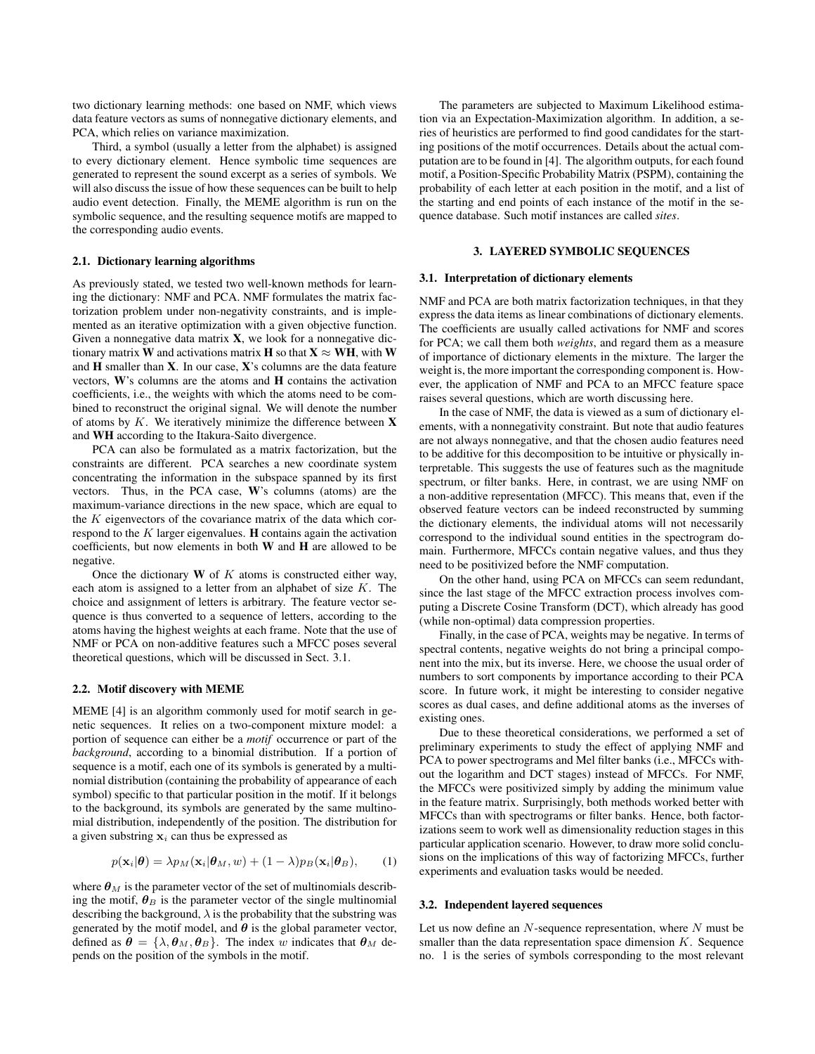two dictionary learning methods: one based on NMF, which views data feature vectors as sums of nonnegative dictionary elements, and PCA, which relies on variance maximization.

Third, a symbol (usually a letter from the alphabet) is assigned to every dictionary element. Hence symbolic time sequences are generated to represent the sound excerpt as a series of symbols. We will also discuss the issue of how these sequences can be built to help audio event detection. Finally, the MEME algorithm is run on the symbolic sequence, and the resulting sequence motifs are mapped to the corresponding audio events.

#### 2.1. Dictionary learning algorithms

As previously stated, we tested two well-known methods for learning the dictionary: NMF and PCA. NMF formulates the matrix factorization problem under non-negativity constraints, and is implemented as an iterative optimization with a given objective function. Given a nonnegative data matrix  $X$ , we look for a nonnegative dictionary matrix W and activations matrix H so that  $X \approx WH$ , with W and H smaller than X. In our case, X's columns are the data feature vectors, W's columns are the atoms and H contains the activation coefficients, i.e., the weights with which the atoms need to be combined to reconstruct the original signal. We will denote the number of atoms by  $K$ . We iteratively minimize the difference between  $X$ and WH according to the Itakura-Saito divergence.

PCA can also be formulated as a matrix factorization, but the constraints are different. PCA searches a new coordinate system concentrating the information in the subspace spanned by its first vectors. Thus, in the PCA case, W's columns (atoms) are the maximum-variance directions in the new space, which are equal to the  $K$  eigenvectors of the covariance matrix of the data which correspond to the  $K$  larger eigenvalues.  $H$  contains again the activation coefficients, but now elements in both W and H are allowed to be negative.

Once the dictionary  $W$  of  $K$  atoms is constructed either way, each atom is assigned to a letter from an alphabet of size  $K$ . The choice and assignment of letters is arbitrary. The feature vector sequence is thus converted to a sequence of letters, according to the atoms having the highest weights at each frame. Note that the use of NMF or PCA on non-additive features such a MFCC poses several theoretical questions, which will be discussed in Sect. 3.1.

## 2.2. Motif discovery with MEME

MEME [4] is an algorithm commonly used for motif search in genetic sequences. It relies on a two-component mixture model: a portion of sequence can either be a *motif* occurrence or part of the *background*, according to a binomial distribution. If a portion of sequence is a motif, each one of its symbols is generated by a multinomial distribution (containing the probability of appearance of each symbol) specific to that particular position in the motif. If it belongs to the background, its symbols are generated by the same multinomial distribution, independently of the position. The distribution for a given substring  $x_i$  can thus be expressed as

$$
p(\mathbf{x}_i|\boldsymbol{\theta}) = \lambda p_M(\mathbf{x}_i|\boldsymbol{\theta}_M, w) + (1 - \lambda) p_B(\mathbf{x}_i|\boldsymbol{\theta}_B),
$$
 (1)

where  $\theta_M$  is the parameter vector of the set of multinomials describing the motif,  $\theta_B$  is the parameter vector of the single multinomial describing the background,  $\lambda$  is the probability that the substring was generated by the motif model, and  $\theta$  is the global parameter vector, defined as  $\theta = {\lambda, \theta_M, \theta_B}$ . The index w indicates that  $\theta_M$  depends on the position of the symbols in the motif.

The parameters are subjected to Maximum Likelihood estimation via an Expectation-Maximization algorithm. In addition, a series of heuristics are performed to find good candidates for the starting positions of the motif occurrences. Details about the actual computation are to be found in [4]. The algorithm outputs, for each found motif, a Position-Specific Probability Matrix (PSPM), containing the probability of each letter at each position in the motif, and a list of the starting and end points of each instance of the motif in the sequence database. Such motif instances are called *sites*.

#### 3. LAYERED SYMBOLIC SEQUENCES

#### 3.1. Interpretation of dictionary elements

NMF and PCA are both matrix factorization techniques, in that they express the data items as linear combinations of dictionary elements. The coefficients are usually called activations for NMF and scores for PCA; we call them both *weights*, and regard them as a measure of importance of dictionary elements in the mixture. The larger the weight is, the more important the corresponding component is. However, the application of NMF and PCA to an MFCC feature space raises several questions, which are worth discussing here.

In the case of NMF, the data is viewed as a sum of dictionary elements, with a nonnegativity constraint. But note that audio features are not always nonnegative, and that the chosen audio features need to be additive for this decomposition to be intuitive or physically interpretable. This suggests the use of features such as the magnitude spectrum, or filter banks. Here, in contrast, we are using NMF on a non-additive representation (MFCC). This means that, even if the observed feature vectors can be indeed reconstructed by summing the dictionary elements, the individual atoms will not necessarily correspond to the individual sound entities in the spectrogram domain. Furthermore, MFCCs contain negative values, and thus they need to be positivized before the NMF computation.

On the other hand, using PCA on MFCCs can seem redundant, since the last stage of the MFCC extraction process involves computing a Discrete Cosine Transform (DCT), which already has good (while non-optimal) data compression properties.

Finally, in the case of PCA, weights may be negative. In terms of spectral contents, negative weights do not bring a principal component into the mix, but its inverse. Here, we choose the usual order of numbers to sort components by importance according to their PCA score. In future work, it might be interesting to consider negative scores as dual cases, and define additional atoms as the inverses of existing ones.

Due to these theoretical considerations, we performed a set of preliminary experiments to study the effect of applying NMF and PCA to power spectrograms and Mel filter banks (i.e., MFCCs without the logarithm and DCT stages) instead of MFCCs. For NMF, the MFCCs were positivized simply by adding the minimum value in the feature matrix. Surprisingly, both methods worked better with MFCCs than with spectrograms or filter banks. Hence, both factorizations seem to work well as dimensionality reduction stages in this particular application scenario. However, to draw more solid conclusions on the implications of this way of factorizing MFCCs, further experiments and evaluation tasks would be needed.

## 3.2. Independent layered sequences

Let us now define an  $N$ -sequence representation, where  $N$  must be smaller than the data representation space dimension  $K$ . Sequence no. 1 is the series of symbols corresponding to the most relevant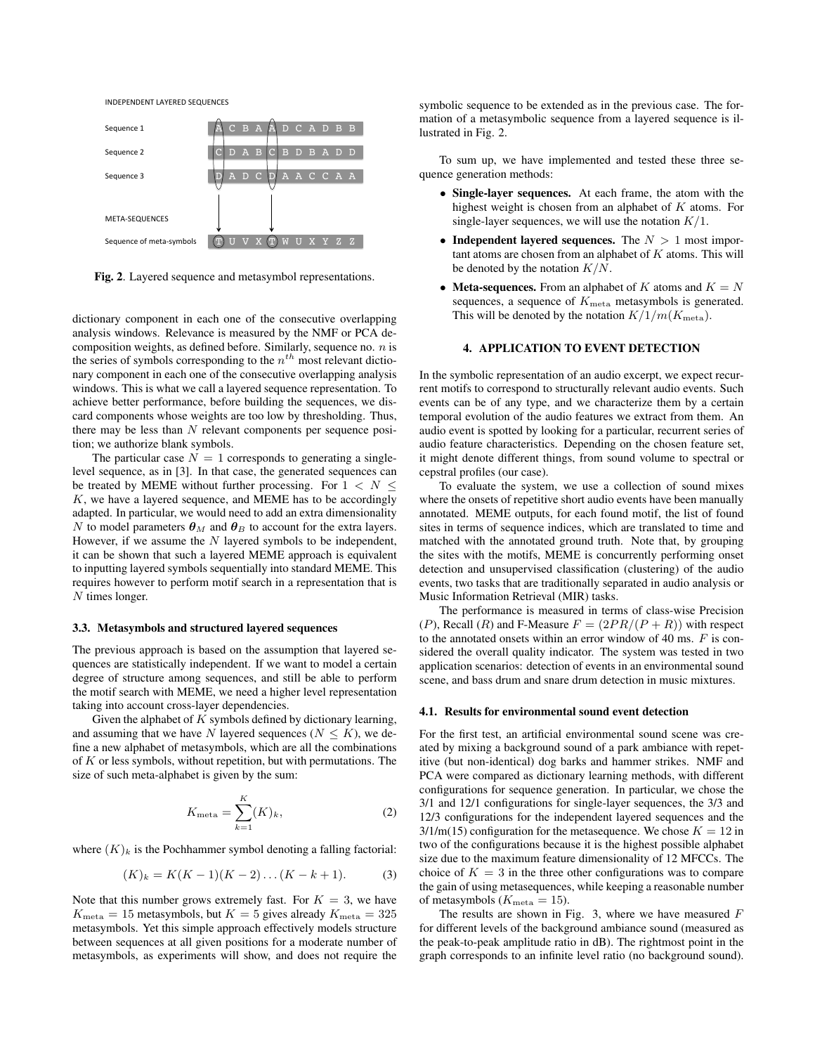INDEPENDENT'LAYERED'SEQUENCES'



Fig. 2. Layered sequence and metasymbol representations.

dictionary component in each one of the consecutive overlapping analysis windows. Relevance is measured by the NMF or PCA decomposition weights, as defined before. Similarly, sequence no.  $n$  is the series of symbols corresponding to the  $n^{th}$  most relevant dictionary component in each one of the consecutive overlapping analysis windows. This is what we call a layered sequence representation. To achieve better performance, before building the sequences, we discard components whose weights are too low by thresholding. Thus, there may be less than  $N$  relevant components per sequence position; we authorize blank symbols.

The particular case  $N = 1$  corresponds to generating a singlelevel sequence, as in [3]. In that case, the generated sequences can be treated by MEME without further processing. For  $1 \lt N \lt N$  $K$ , we have a layered sequence, and MEME has to be accordingly adapted. In particular, we would need to add an extra dimensionality N to model parameters  $\theta_M$  and  $\theta_B$  to account for the extra layers. However, if we assume the  $N$  layered symbols to be independent, it can be shown that such a layered MEME approach is equivalent to inputting layered symbols sequentially into standard MEME. This requires however to perform motif search in a representation that is N times longer.

#### 3.3. Metasymbols and structured layered sequences

The previous approach is based on the assumption that layered sequences are statistically independent. If we want to model a certain degree of structure among sequences, and still be able to perform the motif search with MEME, we need a higher level representation taking into account cross-layer dependencies.

Given the alphabet of  $K$  symbols defined by dictionary learning, and assuming that we have N layered sequences ( $N \leq K$ ), we define a new alphabet of metasymbols, which are all the combinations of  $K$  or less symbols, without repetition, but with permutations. The size of such meta-alphabet is given by the sum:

$$
K_{\text{meta}} = \sum_{k=1}^{K} (K)_k, \tag{2}
$$

where  $(K)_k$  is the Pochhammer symbol denoting a falling factorial:

$$
(K)_k = K(K-1)(K-2)\dots(K-k+1). \tag{3}
$$

Note that this number grows extremely fast. For  $K = 3$ , we have  $K_{\text{meta}} = 15$  metasymbols, but  $K = 5$  gives already  $K_{\text{meta}} = 325$ metasymbols. Yet this simple approach effectively models structure between sequences at all given positions for a moderate number of metasymbols, as experiments will show, and does not require the

symbolic sequence to be extended as in the previous case. The formation of a metasymbolic sequence from a layered sequence is illustrated in Fig. 2.

To sum up, we have implemented and tested these three sequence generation methods:

- Single-layer sequences. At each frame, the atom with the highest weight is chosen from an alphabet of  $K$  atoms. For single-layer sequences, we will use the notation  $K/1$ .
- Independent layered sequences. The  $N > 1$  most important atoms are chosen from an alphabet of  $K$  atoms. This will be denoted by the notation  $K/N$ .
- Meta-sequences. From an alphabet of K atoms and  $K = N$ sequences, a sequence of  $K_{\text{meta}}$  metasymbols is generated. This will be denoted by the notation  $K/1/m(K_{\text{meta}})$ .

## 4. APPLICATION TO EVENT DETECTION

In the symbolic representation of an audio excerpt, we expect recurrent motifs to correspond to structurally relevant audio events. Such events can be of any type, and we characterize them by a certain temporal evolution of the audio features we extract from them. An audio event is spotted by looking for a particular, recurrent series of audio feature characteristics. Depending on the chosen feature set, it might denote different things, from sound volume to spectral or cepstral profiles (our case).

To evaluate the system, we use a collection of sound mixes where the onsets of repetitive short audio events have been manually annotated. MEME outputs, for each found motif, the list of found sites in terms of sequence indices, which are translated to time and matched with the annotated ground truth. Note that, by grouping the sites with the motifs, MEME is concurrently performing onset detection and unsupervised classification (clustering) of the audio events, two tasks that are traditionally separated in audio analysis or Music Information Retrieval (MIR) tasks.

The performance is measured in terms of class-wise Precision (P), Recall (R) and F-Measure  $F = (2PR/(P + R))$  with respect to the annotated onsets within an error window of 40 ms. F is considered the overall quality indicator. The system was tested in two application scenarios: detection of events in an environmental sound scene, and bass drum and snare drum detection in music mixtures.

#### 4.1. Results for environmental sound event detection

For the first test, an artificial environmental sound scene was created by mixing a background sound of a park ambiance with repetitive (but non-identical) dog barks and hammer strikes. NMF and PCA were compared as dictionary learning methods, with different configurations for sequence generation. In particular, we chose the 3/1 and 12/1 configurations for single-layer sequences, the 3/3 and 12/3 configurations for the independent layered sequences and the  $3/1/m(15)$  configuration for the metasequence. We chose  $K = 12$  in two of the configurations because it is the highest possible alphabet size due to the maximum feature dimensionality of 12 MFCCs. The choice of  $K = 3$  in the three other configurations was to compare the gain of using metasequences, while keeping a reasonable number of metasymbols ( $K_{\text{meta}} = 15$ ).

The results are shown in Fig. 3, where we have measured  $F$ for different levels of the background ambiance sound (measured as the peak-to-peak amplitude ratio in dB). The rightmost point in the graph corresponds to an infinite level ratio (no background sound).